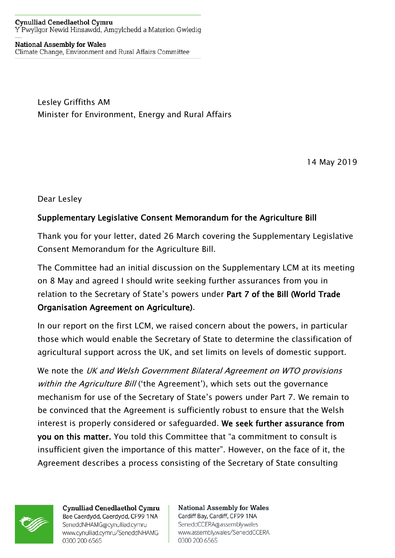## **Cynulliad Cenedlaethol Cymru** Y Pwyllgor Newid Hinsawdd, Amgylchedd a Materion Gwledig

**National Assembly for Wales** Climate Change, Environment and Rural Affairs Committee

> Lesley Griffiths AM Minister for Environment, Energy and Rural Affairs

> > 14 May 2019

Dear Lesley

## Supplementary Legislative Consent Memorandum for the Agriculture Bill

Thank you for your letter, dated 26 March covering the Supplementary Legislative Consent Memorandum for the Agriculture Bill.

The Committee had an initial discussion on the Supplementary LCM at its meeting on 8 May and agreed I should write seeking further assurances from you in relation to the Secretary of State's powers under Part 7 of the Bill (World Trade Organisation Agreement on Agriculture).

In our report on the first LCM, we raised concern about the powers, in particular those which would enable the Secretary of State to determine the classification of agricultural support across the UK, and set limits on levels of domestic support.

We note the UK and Welsh Government Bilateral Agreement on WTO provisions within the Agriculture Bill ('the Agreement'), which sets out the governance mechanism for use of the Secretary of State's powers under Part 7. We remain to be convinced that the Agreement is sufficiently robust to ensure that the Welsh interest is properly considered or safeguarded. We seek further assurance from you on this matter. You told this Committee that "a commitment to consult is insufficient given the importance of this matter". However, on the face of it, the Agreement describes a process consisting of the Secretary of State consulting



**Cynulliad Cenedlaethol Cymru** Bae Caerdydd, Caerdydd, CF99 1NA SeneddNHAMG@cynulliad.cymru www.cynulliad.cymru/SeneddNHAMG 0300 200 6565

**National Assembly for Wales** Cardiff Bay, Cardiff, CF99 1NA SeneddCCERA@assembly.wales www.assembly.wales/SeneddCCERA 0300 200 6565